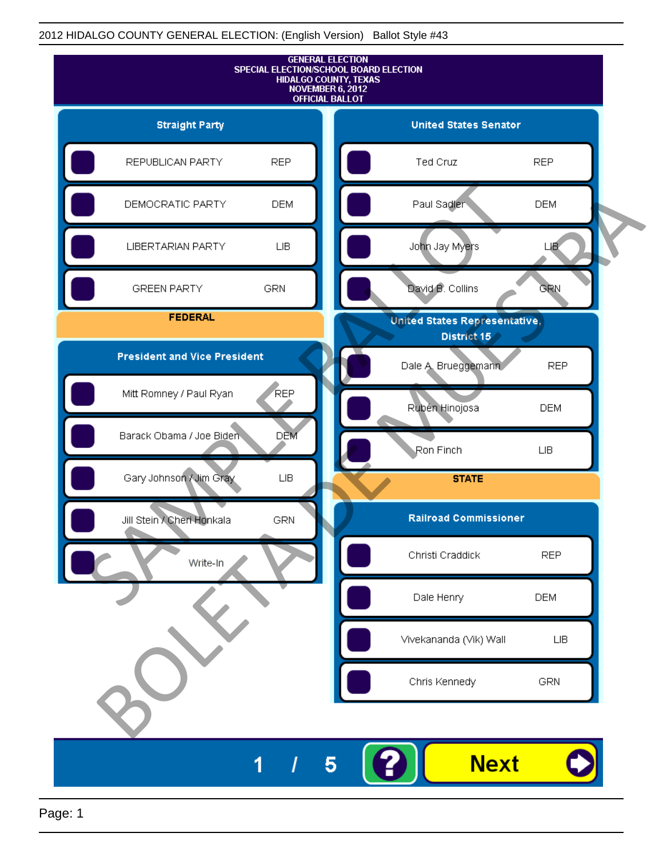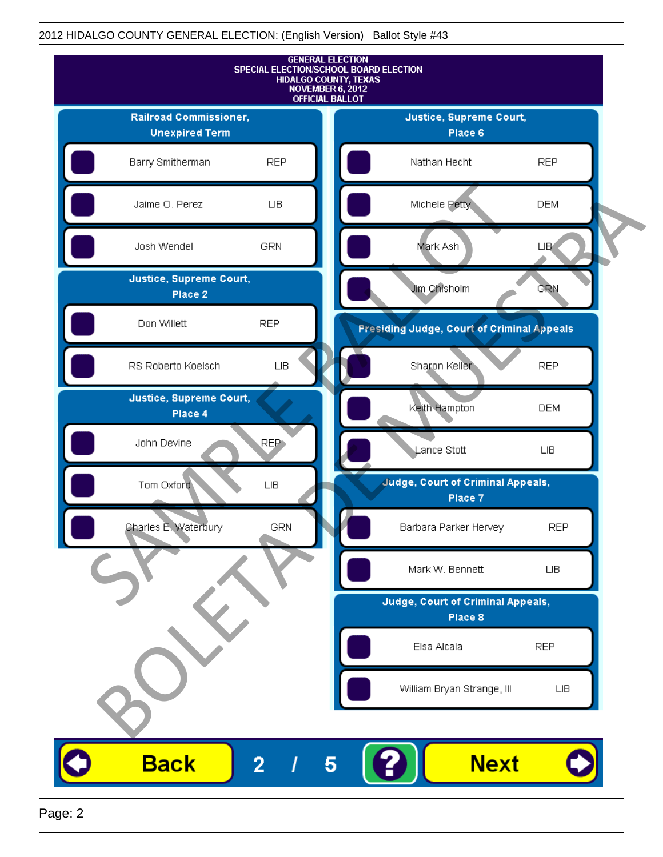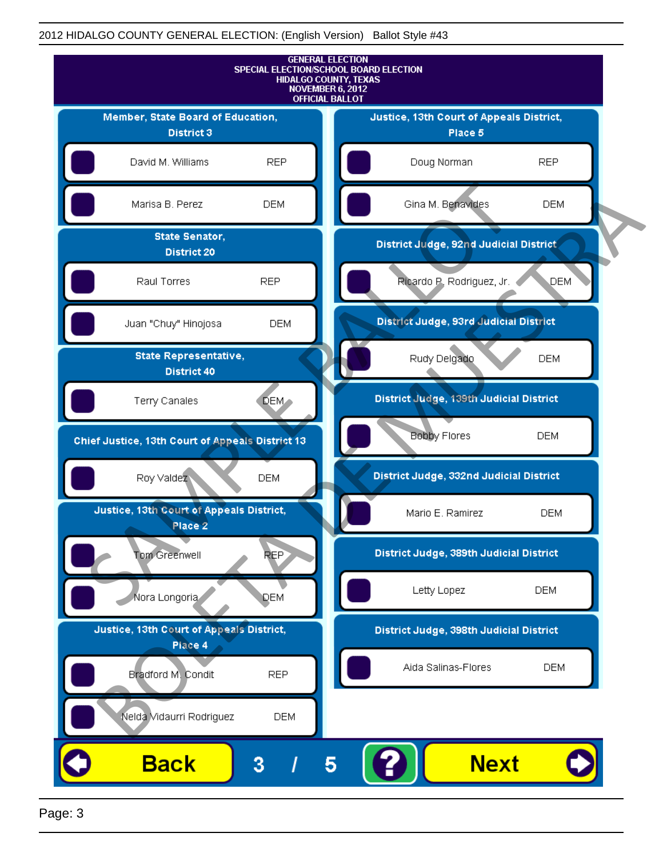

Page: 3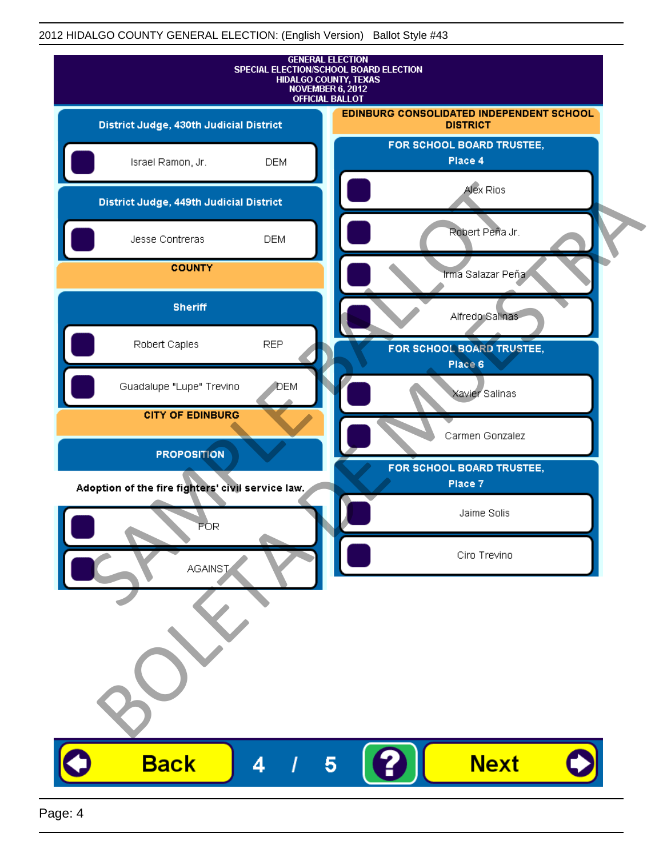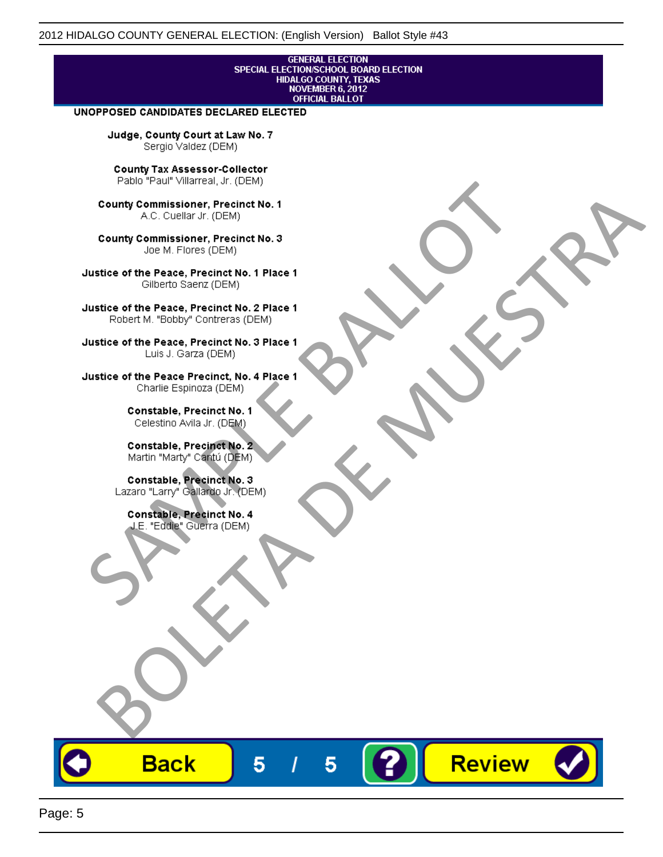# **GENERAL ELECTION** SPECIAL ELECTION/SCHOOL BOARD ELECTION<br>HIDALGO COUNTY, TEXAS<br>NOVEMBER 6, 2012<br>OFFICIAL BALLOT

Review

#### UNOPPOSED CANDIDATES DECLARED ELECTED

Judge, County Court at Law No. 7 Sergio Valdez (DEM)

County Tax Assessor-Collector

Fall Paul Visitera, Precinct No. 1<br>
County Commissioner, Precinct No. 1<br>
SAC. Cutellar JF: (DEM)<br>
County Commissioner, Precinct No. 2<br>
Ulattice of the Peace, Precinct No. 2 Place 1<br>
Counter M. "Bobby" Contrers (DEM)<br>
Ulatt County Commissioner, Precinct No. 1<br>
Accounts: A County Commissioner, Precinct No. 3<br>
Use of the Peace, Precinct No. 1<br>
Siste of the Peace, Precinct No. 1<br>
There is a control of the County Commission (DEM)<br>
There is a cont

**Back** 

5

5

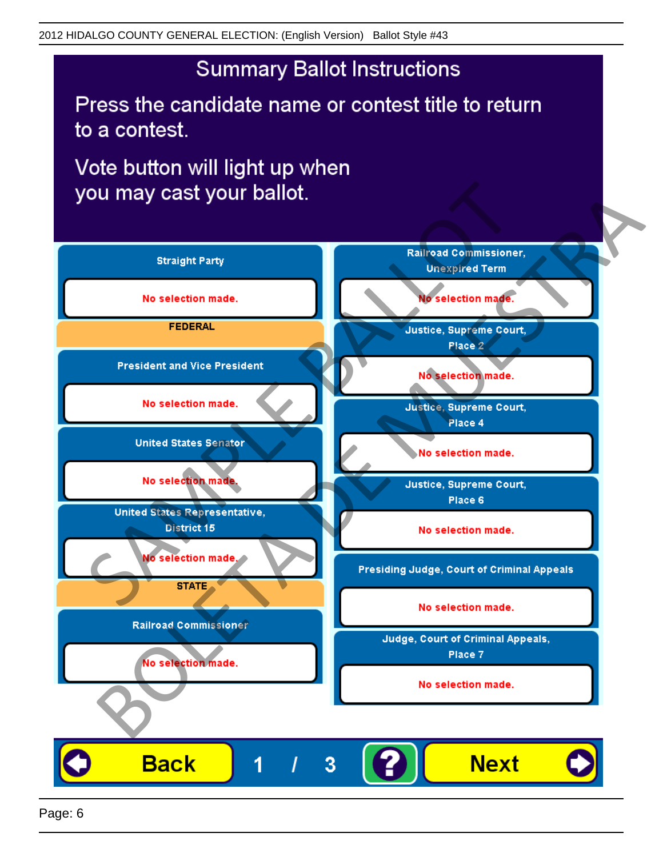## **Summary Ballot Instructions**

Press the candidate name or contest title to return to a contest.

Vote button will light up when

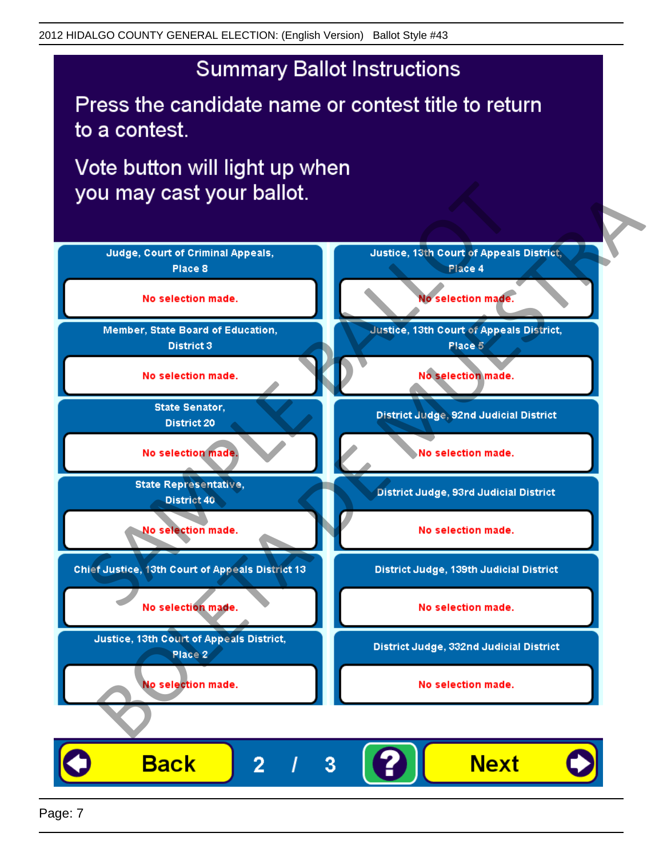## **Summary Ballot Instructions**

Press the candidate name or contest title to return to a contest.

Vote button will light up when